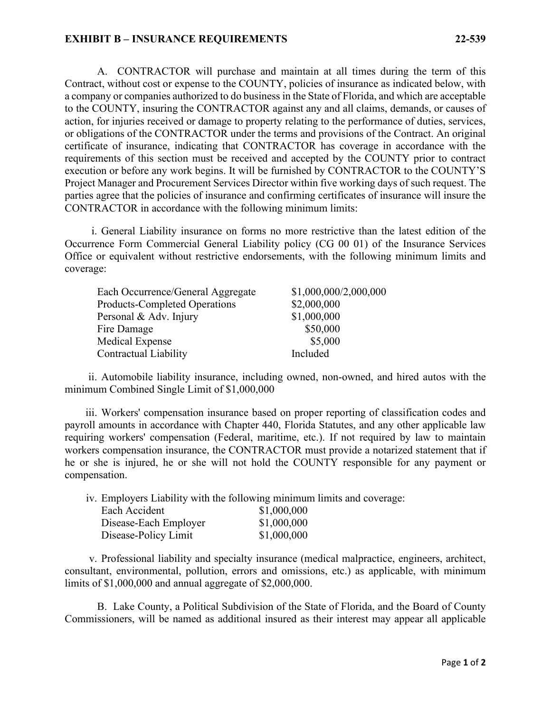## **EXHIBIT B – INSURANCE REQUIREMENTS 22-539**

A. CONTRACTOR will purchase and maintain at all times during the term of this Contract, without cost or expense to the COUNTY, policies of insurance as indicated below, with a company or companies authorized to do business in the State of Florida, and which are acceptable to the COUNTY, insuring the CONTRACTOR against any and all claims, demands, or causes of action, for injuries received or damage to property relating to the performance of duties, services, or obligations of the CONTRACTOR under the terms and provisions of the Contract. An original certificate of insurance, indicating that CONTRACTOR has coverage in accordance with the requirements of this section must be received and accepted by the COUNTY prior to contract execution or before any work begins. It will be furnished by CONTRACTOR to the COUNTY'S Project Manager and Procurement Services Director within five working days of such request. The parties agree that the policies of insurance and confirming certificates of insurance will insure the CONTRACTOR in accordance with the following minimum limits:

i. General Liability insurance on forms no more restrictive than the latest edition of the Occurrence Form Commercial General Liability policy (CG 00 01) of the Insurance Services Office or equivalent without restrictive endorsements, with the following minimum limits and coverage:

| Each Occurrence/General Aggregate    | \$1,000,000/2,000,000 |
|--------------------------------------|-----------------------|
| <b>Products-Completed Operations</b> | \$2,000,000           |
| Personal & Adv. Injury               | \$1,000,000           |
| Fire Damage                          | \$50,000              |
| Medical Expense                      | \$5,000               |
| Contractual Liability                | Included              |

ii. Automobile liability insurance, including owned, non-owned, and hired autos with the minimum Combined Single Limit of \$1,000,000

iii. Workers' compensation insurance based on proper reporting of classification codes and payroll amounts in accordance with Chapter 440, Florida Statutes, and any other applicable law requiring workers' compensation (Federal, maritime, etc.). If not required by law to maintain workers compensation insurance, the CONTRACTOR must provide a notarized statement that if he or she is injured, he or she will not hold the COUNTY responsible for any payment or compensation.

iv. Employers Liability with the following minimum limits and coverage:

| Each Accident         | \$1,000,000 |
|-----------------------|-------------|
| Disease-Each Employer | \$1,000,000 |
| Disease-Policy Limit  | \$1,000,000 |

v. Professional liability and specialty insurance (medical malpractice, engineers, architect, consultant, environmental, pollution, errors and omissions, etc.) as applicable, with minimum limits of \$1,000,000 and annual aggregate of \$2,000,000.

B. Lake County, a Political Subdivision of the State of Florida, and the Board of County Commissioners, will be named as additional insured as their interest may appear all applicable